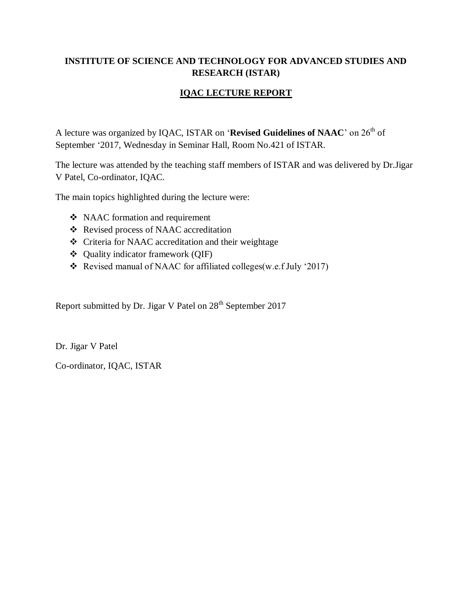# **INSTITUTE OF SCIENCE AND TECHNOLOGY FOR ADVANCED STUDIES AND RESEARCH (ISTAR)**

# **IQAC LECTURE REPORT**

A lecture was organized by IQAC, ISTAR on '**Revised Guidelines of NAAC**' on 26<sup>th</sup> of September '2017, Wednesday in Seminar Hall, Room No.421 of ISTAR.

The lecture was attended by the teaching staff members of ISTAR and was delivered by Dr.Jigar V Patel, Co-ordinator, IQAC.

The main topics highlighted during the lecture were:

- NAAC formation and requirement
- Revised process of NAAC accreditation
- Criteria for NAAC accreditation and their weightage
- Quality indicator framework (QIF)
- Revised manual of NAAC for affiliated colleges(w.e.f July '2017)

Report submitted by Dr. Jigar V Patel on 28<sup>th</sup> September 2017

Dr. Jigar V Patel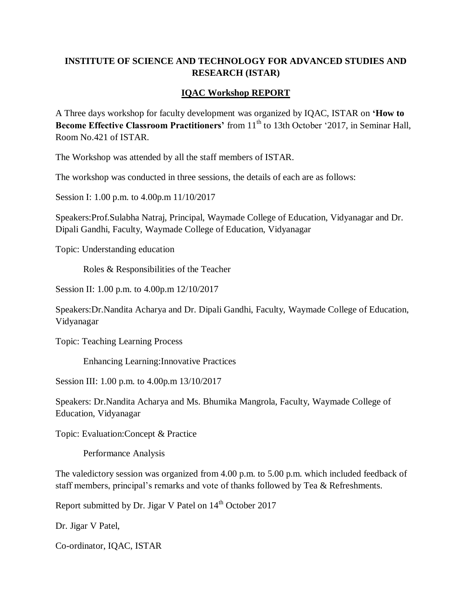# **INSTITUTE OF SCIENCE AND TECHNOLOGY FOR ADVANCED STUDIES AND RESEARCH (ISTAR)**

#### **IQAC Workshop REPORT**

A Three days workshop for faculty development was organized by IQAC, ISTAR on **'How to Become Effective Classroom Practitioners'** from 11<sup>th</sup> to 13th October '2017, in Seminar Hall, Room No.421 of ISTAR.

The Workshop was attended by all the staff members of ISTAR.

The workshop was conducted in three sessions, the details of each are as follows:

Session I: 1.00 p.m. to 4.00p.m 11/10/2017

Speakers:Prof.Sulabha Natraj, Principal, Waymade College of Education, Vidyanagar and Dr. Dipali Gandhi, Faculty, Waymade College of Education, Vidyanagar

Topic: Understanding education

Roles & Responsibilities of the Teacher

Session II: 1.00 p.m. to 4.00p.m 12/10/2017

Speakers:Dr.Nandita Acharya and Dr. Dipali Gandhi, Faculty, Waymade College of Education, Vidyanagar

Topic: Teaching Learning Process

Enhancing Learning:Innovative Practices

Session III: 1.00 p.m. to 4.00p.m 13/10/2017

Speakers: Dr.Nandita Acharya and Ms. Bhumika Mangrola, Faculty, Waymade College of Education, Vidyanagar

Topic: Evaluation:Concept & Practice

Performance Analysis

The valedictory session was organized from 4.00 p.m. to 5.00 p.m. which included feedback of staff members, principal's remarks and vote of thanks followed by Tea & Refreshments.

Report submitted by Dr. Jigar V Patel on  $14<sup>th</sup>$  October 2017

Dr. Jigar V Patel,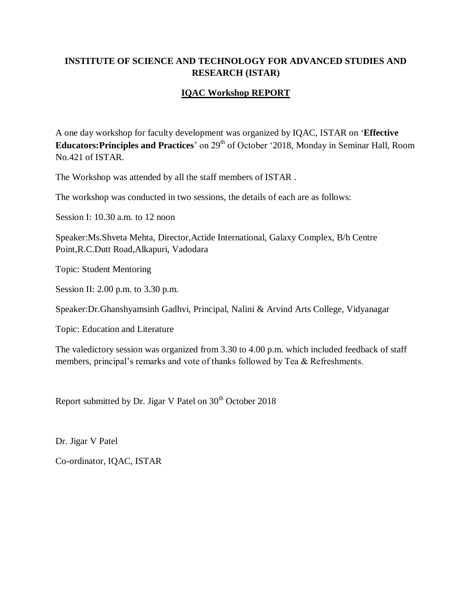### **INSTITUTE OF SCIENCE AND TECHNOLOGY FOR ADVANCED STUDIES AND RESEARCH (ISTAR)**

#### **IQAC Workshop REPORT**

A one day workshop for faculty development was organized by IQAC, ISTAR on '**Effective Educators: Principles and Practices**' on 29<sup>th</sup> of October '2018, Monday in Seminar Hall, Room No.421 of ISTAR.

The Workshop was attended by all the staff members of ISTAR .

The workshop was conducted in two sessions, the details of each are as follows:

Session I: 10.30 a.m. to 12 noon

Speaker:Ms.Shveta Mehta, Director,Actide International, Galaxy Complex, B/h Centre Point,R.C.Dutt Road,Alkapuri, Vadodara

Topic: Student Mentoring

Session II: 2.00 p.m. to 3.30 p.m.

Speaker:Dr.Ghanshyamsinh Gadhvi, Principal, Nalini & Arvind Arts College, Vidyanagar

Topic: Education and Literature

The valedictory session was organized from 3.30 to 4.00 p.m. which included feedback of staff members, principal's remarks and vote of thanks followed by Tea & Refreshments.

Report submitted by Dr. Jigar V Patel on  $30<sup>th</sup>$  October 2018

Dr. Jigar V Patel